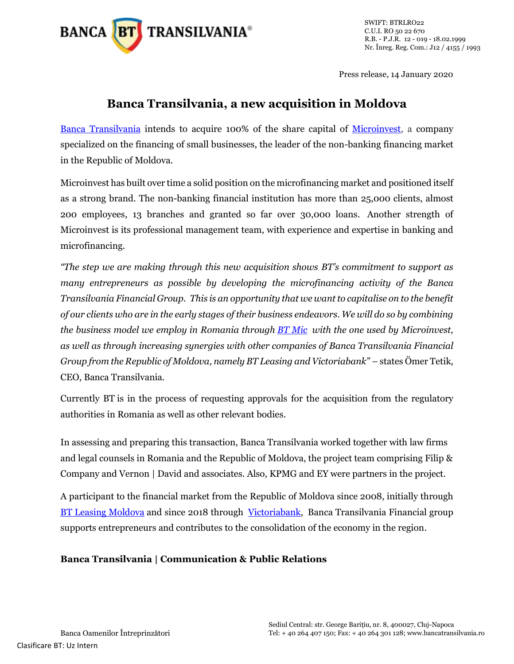

SWIFT: BTRLRO22 C.U.I. RO 50 22 670 R.B. - P.J.R. 12 - 019 - 18.02.1999 Nr. Înreg. Reg. Com.: J12 / 4155 / 1993

Press release, 14 January 2020

## **Banca Transilvania, a new acquisition in Moldova**

[Banca Transilvania](http://www.bancatransilvania.ro/) intends to acquire 100% of the share capital of [Microinvest,](https://microinvest.md/) a company specialized on the financing of small businesses, the leader of the non-banking financing market in the Republic of Moldova.

Microinvest has built over time a solid position on the microfinancing market and positioned itself as a strong brand. The non-banking financial institution has more than 25,000 clients, almost 200 employees, 13 branches and granted so far over 30,000 loans. Another strength of Microinvest is its professional management team, with experience and expertise in banking and microfinancing.

*"The step we are making through this new acquisition shows BT's commitment to support as many entrepreneurs as possible by developing the microfinancing activity of the Banca Transilvania Financial Group. This is an opportunity that we want to capitalise on to the benefit of our clients who are in the early stages of their business endeavors. We will do so by combining the business model we employ in Romania through [BT Mic](https://www.btmic.ro/) with the one used by Microinvest, as well as through increasing synergies with other companies of Banca Transilvania Financial Group from the Republic of Moldova, namely BT Leasing and Victoriabank"* – states Ömer Tetik, CEO, Banca Transilvania.

Currently BT is in the process of requesting approvals for the acquisition from the regulatory authorities in Romania as well as other relevant bodies.

In assessing and preparing this transaction, Banca Transilvania worked together with law firms and legal counsels in Romania and the Republic of Moldova, the project team comprising Filip & Company and Vernon | David and associates. Also, KPMG and EY were partners in the project.

A participant to the financial market from the Republic of Moldova since 2008, initially through [BT Leasing Moldova](https://btleasing.md/) and since 2018 through [Victoriabank,](https://www.victoriabank.md/) Banca Transilvania Financial group supports entrepreneurs and contributes to the consolidation of the economy in the region.

## **Banca Transilvania | Communication & Public Relations**